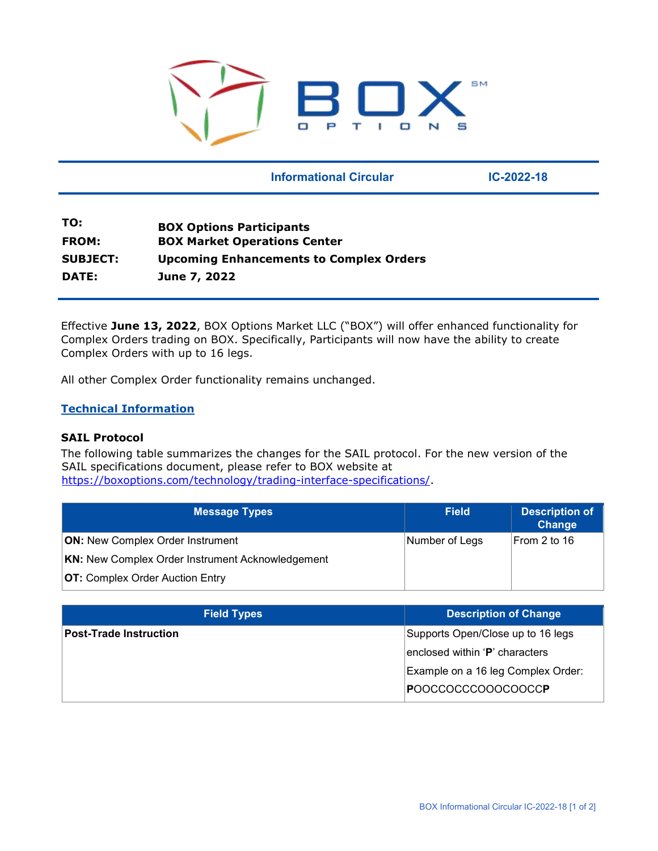

### **Informational Circular 1C-2022-18**

| TO:             | <b>BOX Options Participants</b>                |
|-----------------|------------------------------------------------|
| <b>FROM:</b>    | <b>BOX Market Operations Center</b>            |
| <b>SUBJECT:</b> | <b>Upcoming Enhancements to Complex Orders</b> |
| <b>DATE:</b>    | June 7, 2022                                   |

Effective **June 13, 2022**, BOX Options Market LLC ("BOX") will offer enhanced functionality for Complex Orders trading on BOX. Specifically, Participants will now have the ability to create Complex Orders with up to 16 legs.

All other Complex Order functionality remains unchanged.

### **Technical Information**

### **SAIL Protocol**

The following table summarizes the changes for the SAIL protocol. For the new version of the SAIL specifications document, please refer to BOX website at [https://boxoptions.com/technology/trading-interface-specifications/.](https://boxoptions.com/technology/trading-interface-specifications/)

| <b>Message Types</b>                                    | <b>Field</b>   | <b>Description of</b><br>Change |
|---------------------------------------------------------|----------------|---------------------------------|
| <b>ON:</b> New Complex Order Instrument                 | Number of Legs | From 2 to 16                    |
| <b>KN:</b> New Complex Order Instrument Acknowledgement |                |                                 |
| <b>OT:</b> Complex Order Auction Entry                  |                |                                 |

| <b>Field Types</b>            | <b>Description of Change</b>       |
|-------------------------------|------------------------------------|
| <b>Post-Trade Instruction</b> | Supports Open/Close up to 16 legs  |
|                               | enclosed within 'P' characters     |
|                               | Example on a 16 leg Complex Order: |
|                               | POOCCOCCCOOOCOOCC <b>P</b>         |